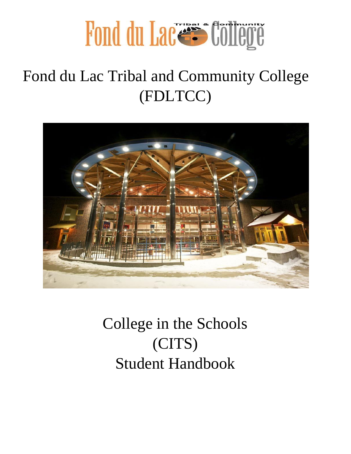

### Fond du Lac Tribal and Community College (FDLTCC)



College in the Schools (CITS) Student Handbook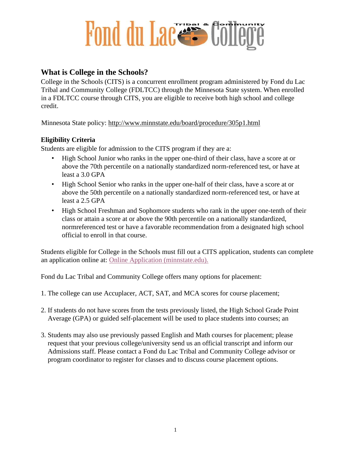### **What is College in the Schools?**

College in the Schools (CITS) is a concurrent enrollment program administered by Fond du Lac Tribal and Community College (FDLTCC) through the Minnesota State system. When enrolled in a FDLTCC course through CITS, you are eligible to receive both high school and college credit.

Minnesota State policy:<http://www.minnstate.edu/board/procedure/305p1.html>

### **Eligibility Criteria**

Students are eligible for admission to the CITS program if they are a:

- High School Junior who ranks in the upper one-third of their class, have a score at or above the 70th percentile on a nationally standardized norm-referenced test, or have at least a 3.0 GPA
- High School Senior who ranks in the upper one-half of their class, have a score at or above the 50th percentile on a nationally standardized norm-referenced test, or have at least a 2.5 GPA
- High School Freshman and Sophomore students who rank in the upper one-tenth of their class or attain a score at or above the 90th percentile on a nationally standardized, normreferenced test or have a favorable recommendation from a designated high school official to enroll in that course.

Students eligible for College in the Schools must fill out a CITS application, students can complete an application online at: [Online Application \(minnstate.edu\).](https://eservices.minnstate.edu/adm/public/studentWelcome?campusId=163&appType=underGrad)

Fond du Lac Tribal and Community College offers many options for placement:

- 1. The college can use Accuplacer, ACT, SAT, and MCA scores for course placement;
- 2. If students do not have scores from the tests previously listed, the High School Grade Point Average (GPA) or guided self-placement will be used to place students into courses; an
- 3. Students may also use previously passed English and Math courses for placement; please request that your previous college/university send us an official transcript and inform our Admissions staff. Please contact a Fond du Lac Tribal and Community College advisor or program coordinator to register for classes and to discuss course placement options.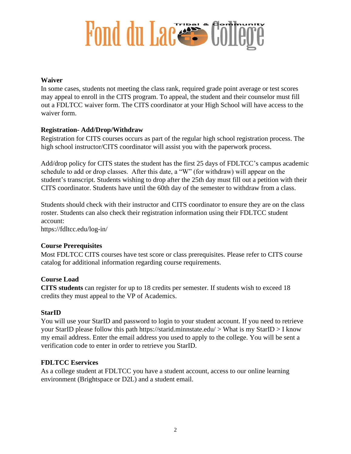#### **Waiver**

In some cases, students not meeting the class rank, required grade point average or test scores may appeal to enroll in the CITS program. To appeal, the student and their counselor must fill out a FDLTCC waiver form. The CITS coordinator at your High School will have access to the waiver form.

#### **Registration- Add/Drop/Withdraw**

Registration for CITS courses occurs as part of the regular high school registration process. The high school instructor/CITS coordinator will assist you with the paperwork process.

Add/drop policy for CITS states the student has the first 25 days of FDLTCC's campus academic schedule to add or drop classes. After this date, a "W" (for withdraw) will appear on the student's transcript. Students wishing to drop after the 25th day must fill out a petition with their CITS coordinator. Students have until the 60th day of the semester to withdraw from a class.

Students should check with their instructor and CITS coordinator to ensure they are on the class roster. Students can also check their registration information using their FDLTCC student account:

https://fdltcc.edu/log-in/

#### **Course Prerequisites**

Most FDLTCC CITS courses have test score or class prerequisites. Please refer to CITS course catalog for additional information regarding course requirements.

#### **Course Load**

**CITS students** can register for up to 18 credits per semester. If students wish to exceed 18 credits they must appeal to the VP of Academics.

#### **StarID**

You will use your StarID and password to login to your student account. If you need to retrieve your StarID please follow this path https://starid.minnstate.edu/  $>$  What is my StarID  $>$  I know my email address. Enter the email address you used to apply to the college. You will be sent a verification code to enter in order to retrieve you StarID.

#### **FDLTCC Eservices**

As a college student at FDLTCC you have a student account, access to our online learning environment (Brightspace or D2L) and a student email.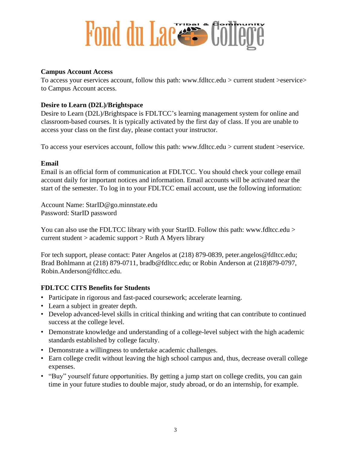#### **Campus Account Access**

To access your eservices account, follow this path: www.fdltcc.edu > current student >eservice> to Campus Account access.

### **Desire to Learn (D2L)/Brightspace**

Desire to Learn (D2L)/Brightspace is FDLTCC's learning management system for online and classroom-based courses. It is typically activated by the first day of class. If you are unable to access your class on the first day, please contact your instructor.

To access your eservices account, follow this path: www.fdltcc.edu > current student >eservice.

#### **Email**

Email is an official form of communication at FDLTCC. You should check your college email account daily for important notices and information. Email accounts will be activated near the start of the semester. To log in to your FDLTCC email account, use the following information:

Account Name: StarID@go.minnstate.edu Password: StarID password

You can also use the FDLTCC library with your StarID. Follow this path: www.fdltcc.edu > current student > academic support > Ruth A Myers library

For tech support, please contact: Pater Angelos at (218) 879-0839, peter.angelos@fdltcc.edu; Brad Bohlmann at (218) 879-0711, bradb@fdltcc.edu; or Robin Anderson at (218)879-0797, Robin.Anderson@fdltcc.edu.

### **FDLTCC CITS Benefits for Students**

- Participate in rigorous and fast-paced coursework; accelerate learning.
- Learn a subject in greater depth.
- Develop advanced-level skills in critical thinking and writing that can contribute to continued success at the college level.
- Demonstrate knowledge and understanding of a college-level subject with the high academic standards established by college faculty.
- Demonstrate a willingness to undertake academic challenges.
- Earn college credit without leaving the high school campus and, thus, decrease overall college expenses.
- "Buy" yourself future opportunities. By getting a jump start on college credits, you can gain time in your future studies to double major, study abroad, or do an internship, for example.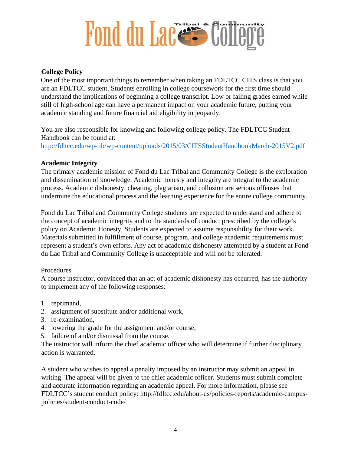#### **College Policy**

One of the most important things to remember when taking an FDLTCC CITS class is that you are an FDLTCC student. Students enrolling in college coursework for the first time should understand the implications of beginning a college transcript. Low or failing grades earned while still of high-school age can have a permanent impact on your academic future, putting your academic standing and future financial aid eligibility in jeopardy.

You are also responsible for knowing and following college policy. The FDLTCC Student Handbook can be found at: <http://fdltcc.edu/wp-lib/wp-content/uploads/2015/03/CITSStudentHandbookMarch-2015V2.pdf>

#### **Academic Integrity**

The primary academic mission of Fond du Lac Tribal and Community College is the exploration and dissemination of knowledge. Academic honesty and integrity are integral to the academic process. Academic dishonesty, cheating, plagiarism, and collusion are serious offenses that undermine the educational process and the learning experience for the entire college community.

Fond du Lac Tribal and Community College students are expected to understand and adhere to the concept of academic integrity and to the standards of conduct prescribed by the college's policy on Academic Honesty. Students are expected to assume responsibility for their work. Materials submitted in fulfillment of course, program, and college academic requirements must represent a student's own efforts. Any act of academic dishonesty attempted by a student at Fond du Lac Tribal and Community College is unacceptable and will not be tolerated.

#### Procedures

A course instructor, convinced that an act of academic dishonesty has occurred, has the authority to implement any of the following responses:

- 1. reprimand,
- 2. assignment of substitute and/or additional work,
- 3. re-examination,
- 4. lowering the grade for the assignment and/or course,
- 5. failure of and/or dismissal from the course.

The instructor will inform the chief academic officer who will determine if further disciplinary action is warranted.

A student who wishes to appeal a penalty imposed by an instructor may submit an appeal in writing. The appeal will be given to the chief academic officer. Students must submit complete and accurate information regarding an academic appeal. For more information, please see FDLTCC's student conduct policy: http://fdltcc.edu/about-us/policies-reports/academic-campuspolicies/student-conduct-code/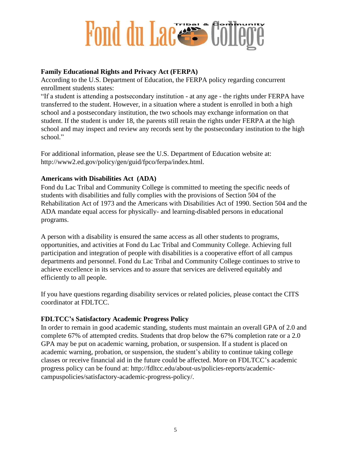#### **Family Educational Rights and Privacy Act (FERPA)**

According to the U.S. Department of Education, the FERPA policy regarding concurrent enrollment students states:

"If a student is attending a postsecondary institution - at any age - the rights under FERPA have transferred to the student. However, in a situation where a student is enrolled in both a high school and a postsecondary institution, the two schools may exchange information on that student. If the student is under 18, the parents still retain the rights under FERPA at the high school and may inspect and review any records sent by the postsecondary institution to the high school."

For additional information, please see the U.S. Department of Education website at: http://www2.ed.gov/policy/gen/guid/fpco/ferpa/index.html.

#### **Americans with Disabilities Act (ADA)**

Fond du Lac Tribal and Community College is committed to meeting the specific needs of students with disabilities and fully complies with the provisions of Section 504 of the Rehabilitation Act of 1973 and the Americans with Disabilities Act of 1990. Section 504 and the ADA mandate equal access for physically- and learning-disabled persons in educational programs.

A person with a disability is ensured the same access as all other students to programs, opportunities, and activities at Fond du Lac Tribal and Community College. Achieving full participation and integration of people with disabilities is a cooperative effort of all campus departments and personnel. Fond du Lac Tribal and Community College continues to strive to achieve excellence in its services and to assure that services are delivered equitably and efficiently to all people.

If you have questions regarding disability services or related policies, please contact the CITS coordinator at FDLTCC.

#### **FDLTCC's Satisfactory Academic Progress Policy**

In order to remain in good academic standing, students must maintain an overall GPA of 2.0 and complete 67% of attempted credits. Students that drop below the 67% completion rate or a 2.0 GPA may be put on academic warning, probation, or suspension. If a student is placed on academic warning, probation, or suspension, the student's ability to continue taking college classes or receive financial aid in the future could be affected. More on FDLTCC's academic progress policy can be found at: http://fdltcc.edu/about-us/policies-reports/academiccampuspolicies/satisfactory-academic-progress-policy/.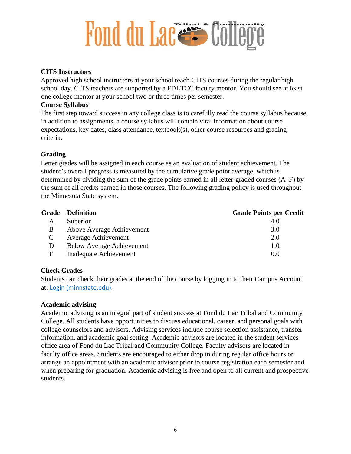#### **CITS Instructors**

Approved high school instructors at your school teach CITS courses during the regular high school day. CITS teachers are supported by a FDLTCC faculty mentor. You should see at least one college mentor at your school two or three times per semester.

#### **Course Syllabus**

The first step toward success in any college class is to carefully read the course syllabus because, in addition to assignments, a course syllabus will contain vital information about course expectations, key dates, class attendance, textbook(s), other course resources and grading criteria.

#### **Grading**

Letter grades will be assigned in each course as an evaluation of student achievement. The student's overall progress is measured by the cumulative grade point average, which is determined by dividing the sum of the grade points earned in all letter-graded courses (A–F) by the sum of all credits earned in those courses. The following grading policy is used throughout the Minnesota State system.

|               | <b>Grade</b> Definition          | <b>Grade Points per Credit</b> |
|---------------|----------------------------------|--------------------------------|
| A             | Superior                         | 4.0                            |
| B             | Above Average Achievement        | 3.0                            |
| $\mathcal{C}$ | <b>Average Achievement</b>       | 2.0                            |
| D             | <b>Below Average Achievement</b> | 1.0                            |
| F             | Inadequate Achievement           | 0.0                            |

#### **Check Grades**

Students can check their grades at the end of the course by logging in to their Campus Account at: [Login \(minnstate.edu\).](https://eservices.minnstate.edu/esession/authentication.do?campusId=163&postAuthUrl=http%3A%2F%2Feservices.minnstate.edu%2Fstudent-portal%2Fsecure%2Fdashboard.do%3Fcampusid%3D163)

#### **Academic advising**

Academic advising is an integral part of student success at Fond du Lac Tribal and Community College. All students have opportunities to discuss educational, career, and personal goals with college counselors and advisors. Advising services include course selection assistance, transfer information, and academic goal setting. Academic advisors are located in the student services office area of Fond du Lac Tribal and Community College. Faculty advisors are located in faculty office areas. Students are encouraged to either drop in during regular office hours or arrange an appointment with an academic advisor prior to course registration each semester and when preparing for graduation. Academic advising is free and open to all current and prospective students.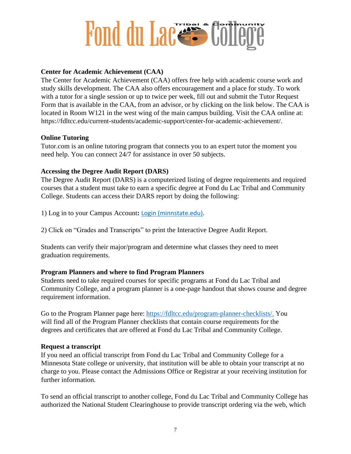#### **Center for Academic Achievement (CAA)**

The Center for Academic Achievement (CAA) offers free help with academic course work and study skills development. The CAA also offers encouragement and a place for study. To work with a tutor for a single session or up to twice per week, fill out and submit the Tutor Request Form that is available in the CAA, from an advisor, or by clicking on the link below. The CAA is located in Room W121 in the west wing of the main campus building. Visit the CAA online at: https://fdltcc.edu/current-students/academic-support/center-for-academic-achievement/.

#### **Online Tutoring**

Tutor.com is an online tutoring program that connects you to an expert tutor the moment you need help. You can connect 24/7 for assistance in over 50 subjects.

#### **Accessing the Degree Audit Report (DARS)**

The Degree Audit Report (DARS) is a computerized listing of degree requirements and required courses that a student must take to earn a specific degree at Fond du Lac Tribal and Community College. Students can access their DARS report by doing the following:

1) Log in to your Campus Account**:** [Login \(minnstate.edu\).](https://eservices.minnstate.edu/esession/authentication.do?campusId=163&postAuthUrl=http%3A%2F%2Feservices.minnstate.edu%2Fstudent-portal%2Fsecure%2Fdashboard.do%3Fcampusid%3D163)

2) Click on "Grades and Transcripts" to print the Interactive Degree Audit Report.

Students can verify their major/program and determine what classes they need to meet graduation requirements.

#### **Program Planners and where to find Program Planners**

Students need to take required courses for specific programs at Fond du Lac Tribal and Community College, and a program planner is a one-page handout that shows course and degree requirement information.

Go to the Program Planner page here: [https://fdltcc.edu/program-planner-checklists/.](https://fdltcc.edu/program-planner-checklists/) You will find all of the Program Planner checklists that contain course requirements for the degrees and certificates that are offered at Fond du Lac Tribal and Community College.

#### **Request a transcript**

If you need an official transcript from Fond du Lac Tribal and Community College for a Minnesota State college or university, that institution will be able to obtain your transcript at no charge to you. Please contact the Admissions Office or Registrar at your receiving institution for further information.

To send an official transcript to another college, Fond du Lac Tribal and Community College has authorized the National Student Clearinghouse to provide transcript ordering via the web, which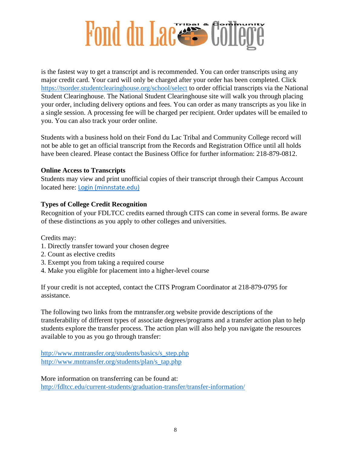

is the fastest way to get a transcript and is recommended. You can order transcripts using any major credit card. Your card will only be charged after your order has been completed. Click <https://tsorder.studentclearinghouse.org/school/select> to order official transcripts via the National Student Clearinghouse. The National Student Clearinghouse site will walk you through placing your order, including delivery options and fees. You can order as many transcripts as you like in a single session. A processing fee will be charged per recipient. Order updates will be emailed to you. You can also track your order online.

Students with a business hold on their Fond du Lac Tribal and Community College record will not be able to get an official transcript from the Records and Registration Office until all holds have been cleared. Please contact the Business Office for further information: 218-879-0812.

#### **Online Access to Transcripts**

Students may view and print unofficial copies of their transcript through their Campus Account located here: [Login \(minnstate.edu\)](https://eservices.minnstate.edu/esession/authentication.do?campusId=163&postAuthUrl=http%3A%2F%2Feservices.minnstate.edu%2Fstudent-portal%2Fsecure%2Fdashboard.do%3Fcampusid%3D163)

#### **Types of College Credit Recognition**

Recognition of your FDLTCC credits earned through CITS can come in several forms. Be aware of these distinctions as you apply to other colleges and universities.

Credits may:

- 1. Directly transfer toward your chosen degree
- 2. Count as elective credits
- 3. Exempt you from taking a required course
- 4. Make you eligible for placement into a higher-level course

If your credit is not accepted, contact the CITS Program Coordinator at 218-879-0795 for assistance.

The following two links from the mntransfer.org website provide descriptions of the transferability of different types of associate degrees/programs and a transfer action plan to help students explore the transfer process. The action plan will also help you navigate the resources available to you as you go through transfer:

[http://www.mntransfer.org/students/basics/s\\_step.php](http://www.mntransfer.org/students/basics/s_step.php) [http://www.mntransfer.org/students/plan/s\\_tap.php](http://www.mntransfer.org/students/plan/s_tap.php)

More information on transferring can be found at: <http://fdltcc.edu/current-students/graduation-transfer/transfer-information/>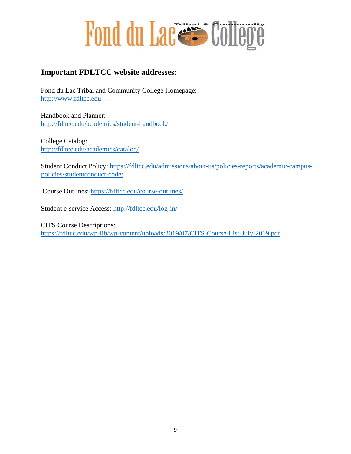

### **Important FDLTCC website addresses:**

Fond du Lac Tribal and Community College Homepage: [http://www.fdltcc.edu](http://www.fdltcc.edu/)

Handbook and Planner: <http://fdltcc.edu/academics/student-handbook/>

College Catalog: <http://fdltcc.edu/academics/catalog/>

Student Conduct Policy: [https://fdltcc.edu/admissions/about-us/policies-reports/academic-campus](https://fdltcc.edu/admissions/about-us/policies-reports/academic-campus-policies/student-conduct-code/)[policies/studentconduct-code/](https://fdltcc.edu/admissions/about-us/policies-reports/academic-campus-policies/student-conduct-code/)

Course Outlines:<https://fdltcc.edu/course-outlines/>

Student e-service Access:<http://fdltcc.edu/log-in/>

CITS Course Descriptions: <https://fdltcc.edu/wp-lib/wp-content/uploads/2019/07/CITS-Course-List-July-2019.pdf>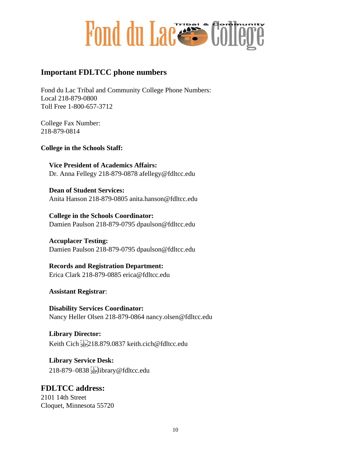

### **Important FDLTCC phone numbers**

Fond du Lac Tribal and Community College Phone Numbers: Local 218-879-0800 Toll Free 1-800-657-3712

College Fax Number: 218-879-0814

**College in the Schools Staff:** 

**Vice President of Academics Affairs:**  Dr. Anna Fellegy 218-879-0878 afellegy@fdltcc.edu

**Dean of Student Services:**  Anita Hanson 218-879-0805 anita.hanson@fdltcc.edu

**College in the Schools Coordinator:**  Damien Paulson 218-879-0795 dpaulson@fdltcc.edu

**Accuplacer Testing:**  Damien Paulson 218-879-0795 dpaulson@fdltcc.edu

**Records and Registration Department:**  Erica Clark 218-879-0885 erica@fdltcc.edu

**Assistant Registrar**:

**Disability Services Coordinator:**  Nancy Heller Olsen 218-879-0864 nancy.olsen@fdltcc.edu

**Library Director:**  Keith Cich 218.879.0837 keith.cich@fdltcc.edu

**Library Service Desk:**  218-879–0838 library@fdltcc.edu

**FDLTCC address:**  2101 14th Street Cloquet, Minnesota 55720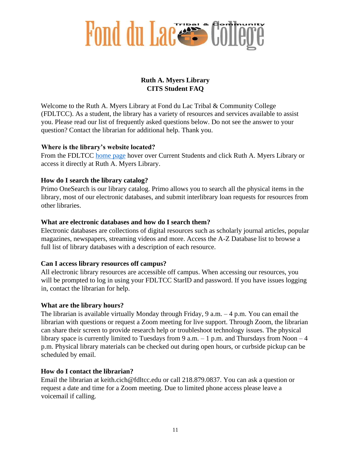

### **Ruth A. Myers Library CITS Student FAQ**

Welcome to the Ruth A. Myers Library at Fond du Lac Tribal & Community College (FDLTCC). As a student, the library has a variety of resources and services available to assist you. Please read our list of frequently asked questions below. Do not see the answer to your question? Contact the librarian for additional help. Thank you.

#### **Where is the library's website located?**

From the FDLTCC [home page](http://www.fdltcc.edu/) [h](http://www.fdltcc.edu/)over over Current Students and click Ruth A. Myers Library or access it directly at Ruth A. Myers Library.

#### **How do I search the library catalog?**

Primo OneSearch is our library catalog. Primo allows you to search all the physical items in the library, most of our electronic databases, and submit interlibrary loan requests for resources from other libraries.

#### **What are electronic databases and how do I search them?**

Electronic databases are collections of digital resources such as scholarly journal articles, popular magazines, newspapers, streaming videos and more. Access the A-Z Database list to browse a full list of library databases with a description of each resource.

#### **Can I access library resources off campus?**

All electronic library resources are accessible off campus. When accessing our resources, you will be prompted to log in using your FDLTCC StarID and password. If you have issues logging in, contact the librarian for help.

#### **What are the library hours?**

The librarian is available virtually Monday through Friday, 9 a.m. – 4 p.m. You can email the librarian with questions or request a Zoom meeting for live support. Through Zoom, the librarian can share their screen to provide research help or troubleshoot technology issues. The physical library space is currently limited to Tuesdays from 9 a.m.  $-1$  p.m. and Thursdays from Noon  $-4$ p.m. Physical library materials can be checked out during open hours, or curbside pickup can be scheduled by email.

#### **How do I contact the librarian?**

Email the librarian at keith.cich@fdltcc.edu or call 218.879.0837. You can ask a question or request a date and time for a Zoom meeting. Due to limited phone access please leave a voicemail if calling.